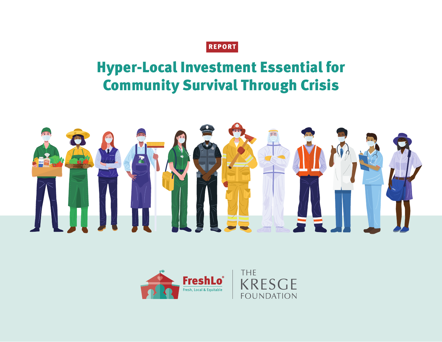### REPORT

# Hyper-Local Investment Essential for Community Survival Through Crisis



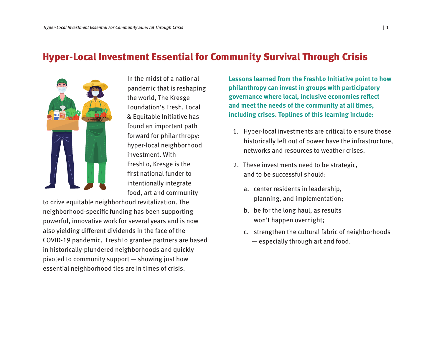### Hyper-Local Investment Essential for Community Survival Through Crisis



In the midst of a national pandemic that is reshaping the world, The Kresge Foundation's Fresh, Local & Equitable Initiative has found an important path forward for philanthropy: hyper-local neighborhood investment. With FreshLo, Kresge is the first national funder to intentionally integrate food, art and community

to drive equitable neighborhood revitalization. The neighborhood-specific funding has been supporting powerful, innovative work for several years and is now also yielding different dividends in the face of the COVID-19 pandemic. FreshLo grantee partners are based in historically-plundered neighborhoods and quickly pivoted to community support — showing just how essential neighborhood ties are in times of crisis.

**Lessons learned from the FreshLo Initiative point to how philanthropy can invest in groups with participatory governance where local, inclusive economies reflect and meet the needs of the community at all times, including crises. Toplines of this learning include:**

- 1. Hyper-local investments are critical to ensure those historically left out of power have the infrastructure, networks and resources to weather crises.
- 2. These investments need to be strategic, and to be successful should:
	- a. center residents in leadership, planning, and implementation;
	- b. be for the long haul, as results won't happen overnight;
	- c. strengthen the cultural fabric of neighborhoods — especially through art and food.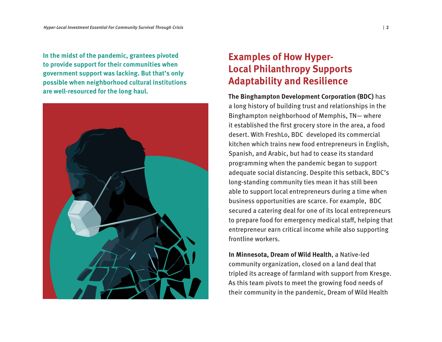**In the midst of the pandemic, grantees pivoted to provide support for their communities when government support was lacking. But that's only possible when neighborhood cultural institutions are well-resourced for the long haul.**



# **Examples of How Hyper-Local Philanthropy Supports Adaptability and Resilience**

**The Binghampton Development Corporation (BDC)** has a long history of building trust and relationships in the Binghampton neighborhood of Memphis, TN— where it established the first grocery store in the area, a food desert. With FreshLo, BDC developed its commercial kitchen which trains new food entrepreneurs in English, Spanish, and Arabic, but had to cease its standard programming when the pandemic began to support adequate social distancing. Despite this setback, BDC's long-standing community ties mean it has still been able to support local entrepreneurs during a time when business opportunities are scarce. For example, BDC secured a catering deal for one of its local entrepreneurs to prepare food for emergency medical staff, helping that entrepreneur earn critical income while also supporting frontline workers.

**In Minnesota, Dream of Wild Health**, a Native-led community organization, closed on a land deal that tripled its acreage of farmland with support from Kresge. As this team pivots to meet the growing food needs of their community in the pandemic, Dream of Wild Health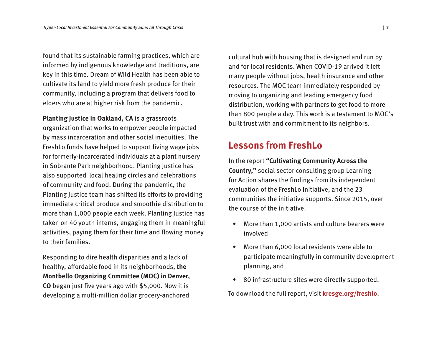found that its sustainable farming practices, which are informed by indigenous knowledge and traditions, are key in this time. Dream of Wild Health has been able to cultivate its land to yield more fresh produce for their community, including a program that delivers food to elders who are at higher risk from the pandemic.

**Planting Justice in Oakland, CA** is a grassroots organization that works to empower people impacted by mass incarceration and other social inequities. The FreshLo funds have helped to support living wage jobs for formerly-incarcerated individuals at a plant nursery in Sobrante Park neighborhood. Planting Justice has also supported local healing circles and celebrations of community and food. During the pandemic, the Planting Justice team has shifted its efforts to providing immediate critical produce and smoothie distribution to more than 1,000 people each week. Planting Justice has taken on 40 youth interns, engaging them in meaningful activities, paying them for their time and flowing money to their families.

Responding to dire health disparities and a lack of healthy, affordable food in its neighborhoods, **the Montbello Organizing Committee (MOC) in Denver, CO** began just five years ago with \$5,000. Now it is developing a multi-million dollar grocery-anchored

cultural hub with housing that is designed and run by and for local residents. When COVID-19 arrived it left many people without jobs, health insurance and other resources. The MOC team immediately responded by moving to organizing and leading emergency food distribution, working with partners to get food to more than 800 people a day. This work is a testament to MOC's built trust with and commitment to its neighbors.

### **Lessons from FreshLo**

In the report **"Cultivating Community Across the Country,"** social sector consulting group Learning for Action shares the findings from its independent evaluation of the FreshLo Initiative, and the 23 communities the initiative supports. Since 2015, over the course of the initiative:

- More than 1,000 artists and culture bearers were involved
- More than 6,000 local residents were able to participate meaningfully in community development planning, and
- 80 infrastructure sites were directly supported.

To download the full report, visit **[kresge.org/freshlo](http://kresge.org/freshlo)**.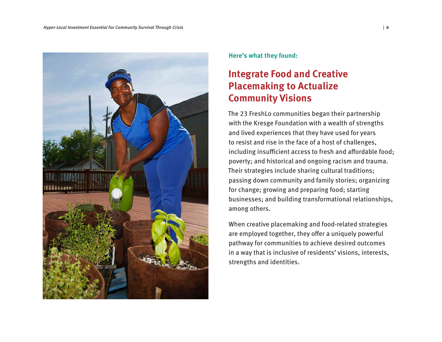

**Here's what they found:** 

# **Integrate Food and Creative Placemaking to Actualize Community Visions**

The 23 FreshLo communities began their partnership with the Kresge Foundation with a wealth of strengths and lived experiences that they have used for years to resist and rise in the face of a host of challenges, including insufficient access to fresh and affordable food; poverty; and historical and ongoing racism and trauma. Their strategies include sharing cultural traditions; passing down community and family stories; organizing for change; growing and preparing food; starting businesses; and building transformational relationships, among others.

When creative placemaking and food-related strategies are employed together, they offer a uniquely powerful pathway for communities to achieve desired outcomes in a way that is inclusive of residents' visions, interests, strengths and identities.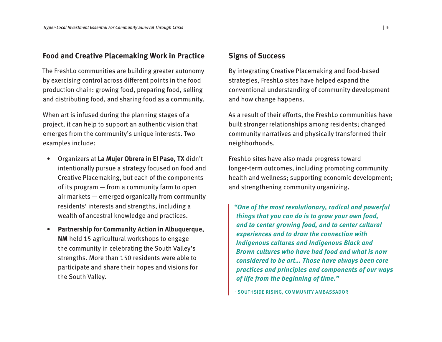#### **Food and Creative Placemaking Work in Practice**

The FreshLo communities are building greater autonomy by exercising control across different points in the food production chain: growing food, preparing food, selling and distributing food, and sharing food as a community.

When art is infused during the planning stages of a project, it can help to support an authentic vision that emerges from the community's unique interests. Two examples include:

- Organizers at **La Mujer Obrera in El Paso, TX** didn't intentionally pursue a strategy focused on food and Creative Placemaking, but each of the components of its program — from a community farm to open air markets — emerged organically from community residents' interests and strengths, including a wealth of ancestral knowledge and practices.
- **Partnership for Community Action in Albuquerque, NM** held 15 agricultural workshops to engage the community in celebrating the South Valley's strengths. More than 150 residents were able to participate and share their hopes and visions for the South Valley.

#### **Signs of Success**

By integrating Creative Placemaking and food-based strategies, FreshLo sites have helped expand the conventional understanding of community development and how change happens.

As a result of their efforts, the FreshLo communities have built stronger relationships among residents; changed community narratives and physically transformed their neighborhoods.

FreshLo sites have also made progress toward longer-term outcomes, including promoting community health and wellness; supporting economic development; and strengthening community organizing.

**"One of the most revolutionary, radical and powerful things that you can do is to grow your own food, and to center growing food, and to center cultural experiences and to draw the connection with Indigenous cultures and Indigenous Black and Brown cultures who have had food and what is now considered to be art… Those have always been core practices and principles and components of our ways of life from the beginning of time."**

- SOUTHSIDE RISING, COMMUNITY AMBASSADOR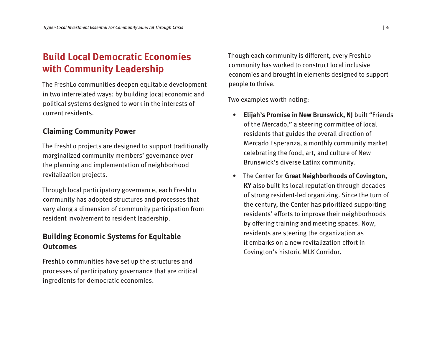# **Build Local Democratic Economies with Community Leadership**

The FreshLo communities deepen equitable development in two interrelated ways: by building local economic and political systems designed to work in the interests of current residents.

#### **Claiming Community Power**

The FreshLo projects are designed to support traditionally marginalized community members' governance over the planning and implementation of neighborhood revitalization projects.

Through local participatory governance, each FreshLo community has adopted structures and processes that vary along a dimension of community participation from resident involvement to resident leadership.

#### **Building Economic Systems for Equitable Outcomes**

FreshLo communities have set up the structures and processes of participatory governance that are critical ingredients for democratic economies.

Though each community is different, every FreshLo community has worked to construct local inclusive economies and brought in elements designed to support people to thrive.

Two examples worth noting:

- **Elijah's Promise in New Brunswick, NJ** built "Friends of the Mercado," a steering committee of local residents that guides the overall direction of Mercado Esperanza, a monthly community market celebrating the food, art, and culture of New Brunswick's diverse Latinx community.
- The Center for **Great Neighborhoods of Covington, KY** also built its local reputation through decades of strong resident-led organizing. Since the turn of the century, the Center has prioritized supporting residents' efforts to improve their neighborhoods by offering training and meeting spaces. Now, residents are steering the organization as it embarks on a new revitalization effort in Covington's historic MLK Corridor.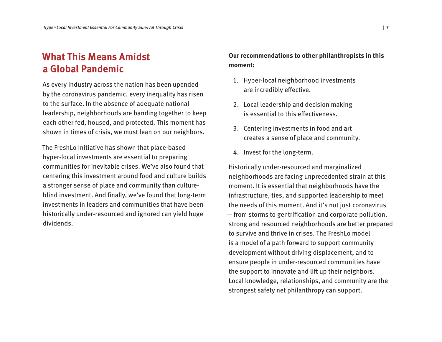# **What This Means Amidst a Global Pandemic**

As every industry across the nation has been upended by the coronavirus pandemic, every inequality has risen to the surface. In the absence of adequate national leadership, neighborhoods are banding together to keep each other fed, housed, and protected. This moment has shown in times of crisis, we must lean on our neighbors.

The FreshLo Initiative has shown that place-based hyper-local investments are essential to preparing communities for inevitable crises. We've also found that centering this investment around food and culture builds a stronger sense of place and community than cultureblind investment. And finally, we've found that long-term investments in leaders and communities that have been historically under-resourced and ignored can yield huge dividends.

#### **Our recommendations to other philanthropists in this moment:**

- 1. Hyper-local neighborhood investments are incredibly effective.
- 2. Local leadership and decision making is essential to this effectiveness.
- 3. Centering investments in food and art creates a sense of place and community.
- 4. Invest for the long-term.

Historically under-resourced and marginalized neighborhoods are facing unprecedented strain at this moment. It is essential that neighborhoods have the infrastructure, ties, and supported leadership to meet the needs of this moment. And it's not just coronavirus — from storms to gentrification and corporate pollution, strong and resourced neighborhoods are better prepared to survive and thrive in crises. The FreshLo model is a model of a path forward to support community development without driving displacement, and to ensure people in under-resourced communities have the support to innovate and lift up their neighbors. Local knowledge, relationships, and community are the strongest safety net philanthropy can support.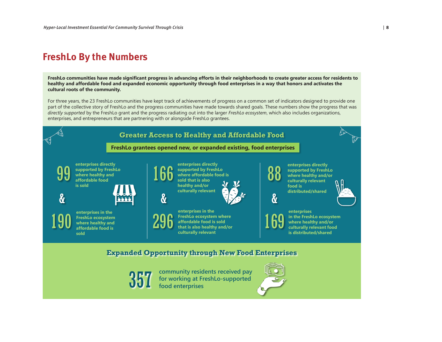### **FreshLo By the Numbers**

**FreshLo communities have made significant progress in advancing efforts in their neighborhoods to create greater access for residents to healthy and affordable food and expanded economic opportunity through food enterprises in a way that honors and activates the cultural roots of the community.** 

For three years, the 23 FreshLo communities have kept track of achievements of progress on a common set of indicators designed to provide one part of the collective story of FreshLo and the progress communities have made towards shared goals. These numbers show the progress that was *directly supported* by the FreshLo grant and the progress radiating out into the larger *FreshLo ecosystem*, which also includes organizations, enterprises, and entrepreneurs that are partnering with or alongside FreshLo grantees.

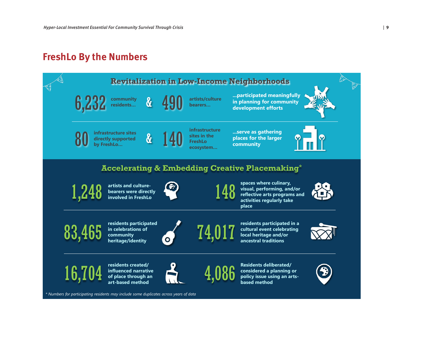# **FreshLo By the Numbers**



*\* Numbers for participating residents may include some duplicates across years of data*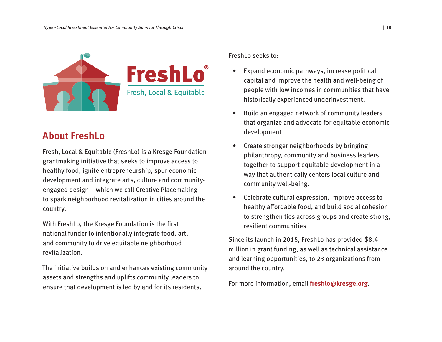

# **About FreshLo**

Fresh, Local & Equitable (FreshLo) is a Kresge Foundation grantmaking initiative that seeks to improve access to healthy food, ignite entrepreneurship, spur economic development and integrate arts, culture and communityengaged design – which we call Creative Placemaking – to spark neighborhood revitalization in cities around the country.

With FreshLo, the Kresge Foundation is the first national funder to intentionally integrate food, art, and community to drive equitable neighborhood revitalization.

The initiative builds on and enhances existing community assets and strengths and uplifts community leaders to ensure that development is led by and for its residents.

FreshLo seeks to:

- Expand economic pathways, increase political capital and improve the health and well-being of people with low incomes in communities that have historically experienced underinvestment.
- Build an engaged network of community leaders that organize and advocate for equitable economic development
- Create stronger neighborhoods by bringing philanthropy, community and business leaders together to support equitable development in a way that authentically centers local culture and community well-being.
- Celebrate cultural expression, improve access to healthy affordable food, and build social cohesion to strengthen ties across groups and create strong, resilient communities

Since its launch in 2015, FreshLo has provided \$8.4 million in grant funding, as well as technical assistance and learning opportunities, to 23 organizations from around the country.

For more information, email **freshlo@kresge.org**.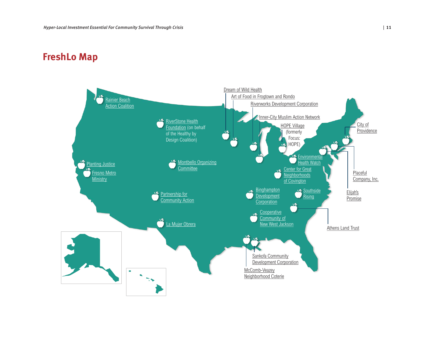#### **The 23 Free Across the Countries Across the Countries Across the Countries Across the Countries Across the Countries Across the Countries Across the Countries Across the Countries Across the Countries Across the Countries FreshLo Map**